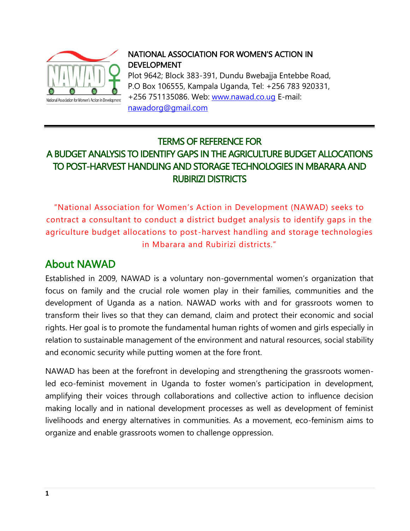

#### NATIONAL ASSOCIATION FOR WOMEN'S ACTION IN DEVELOPMENT

Plot 9642; Block 383-391, Dundu Bwebajja Entebbe Road, P.O Box 106555, Kampala Uganda, Tel: +256 783 920331, +256 751135086. Web: [www.nawad.co.ug](http://www.nawad.co.ug/) E-mail: [nawadorg@gmail.com](mailto:nawadorg@gmail.com)

#### TERMS OF REFERENCE FOR A BUDGET ANALYSIS TO IDENTIFY GAPS IN THE AGRICULTURE BUDGET ALLOCATIONS TO POST-HARVEST HANDLING AND STORAGE TECHNOLOGIES IN MBARARA AND RUBIRIZI DISTRICTS

"National Association for Women's Action in Development (NAWAD) seeks to contract a consultant to conduct a district budget analysis to identify gaps in the agriculture budget allocations to post -harvest handling and storage technologies in Mbarara and Rubirizi districts."

## About NAWAD

Established in 2009, NAWAD is a voluntary non-governmental women's organization that focus on family and the crucial role women play in their families, communities and the development of Uganda as a nation. NAWAD works with and for grassroots women to transform their lives so that they can demand, claim and protect their economic and social rights. Her goal is to promote the fundamental human rights of women and girls especially in relation to sustainable management of the environment and natural resources, social stability and economic security while putting women at the fore front.

NAWAD has been at the forefront in developing and strengthening the grassroots womenled eco-feminist movement in Uganda to foster women's participation in development, amplifying their voices through collaborations and collective action to influence decision making locally and in national development processes as well as development of feminist livelihoods and energy alternatives in communities. As a movement, eco-feminism aims to organize and enable grassroots women to challenge oppression.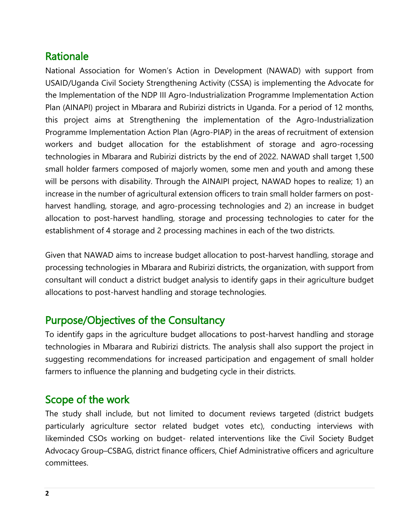### Rationale

National Association for Women's Action in Development (NAWAD) with support from USAID/Uganda Civil Society Strengthening Activity (CSSA) is implementing the Advocate for the Implementation of the NDP III Agro-Industrialization Programme Implementation Action Plan (AINAPI) project in Mbarara and Rubirizi districts in Uganda. For a period of 12 months, this project aims at Strengthening the implementation of the Agro-Industrialization Programme Implementation Action Plan (Agro-PIAP) in the areas of recruitment of extension workers and budget allocation for the establishment of storage and agro-rocessing technologies in Mbarara and Rubirizi districts by the end of 2022. NAWAD shall target 1,500 small holder farmers composed of majorly women, some men and youth and among these will be persons with disability. Through the AINAIPI project, NAWAD hopes to realize; 1) an increase in the number of agricultural extension officers to train small holder farmers on postharvest handling, storage, and agro-processing technologies and 2) an increase in budget allocation to post-harvest handling, storage and processing technologies to cater for the establishment of 4 storage and 2 processing machines in each of the two districts.

Given that NAWAD aims to increase budget allocation to post-harvest handling, storage and processing technologies in Mbarara and Rubirizi districts, the organization, with support from consultant will conduct a district budget analysis to identify gaps in their agriculture budget allocations to post-harvest handling and storage technologies.

### Purpose/Objectives of the Consultancy

To identify gaps in the agriculture budget allocations to post-harvest handling and storage technologies in Mbarara and Rubirizi districts. The analysis shall also support the project in suggesting recommendations for increased participation and engagement of small holder farmers to influence the planning and budgeting cycle in their districts.

### Scope of the work

The study shall include, but not limited to document reviews targeted (district budgets particularly agriculture sector related budget votes etc), conducting interviews with likeminded CSOs working on budget- related interventions like the Civil Society Budget Advocacy Group–CSBAG, district finance officers, Chief Administrative officers and agriculture committees.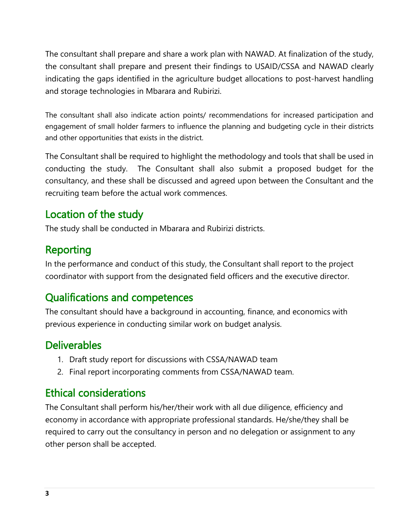The consultant shall prepare and share a work plan with NAWAD. At finalization of the study, the consultant shall prepare and present their findings to USAID/CSSA and NAWAD clearly indicating the gaps identified in the agriculture budget allocations to post-harvest handling and storage technologies in Mbarara and Rubirizi.

The consultant shall also indicate action points/ recommendations for increased participation and engagement of small holder farmers to influence the planning and budgeting cycle in their districts and other opportunities that exists in the district.

The Consultant shall be required to highlight the methodology and tools that shall be used in conducting the study. The Consultant shall also submit a proposed budget for the consultancy, and these shall be discussed and agreed upon between the Consultant and the recruiting team before the actual work commences.

### Location of the study

The study shall be conducted in Mbarara and Rubirizi districts.

## Reporting

In the performance and conduct of this study, the Consultant shall report to the project coordinator with support from the designated field officers and the executive director.

# Qualifications and competences

The consultant should have a background in accounting, finance, and economics with previous experience in conducting similar work on budget analysis.

# **Deliverables**

- 1. Draft study report for discussions with CSSA/NAWAD team
- 2. Final report incorporating comments from CSSA/NAWAD team.

# Ethical considerations

The Consultant shall perform his/her/their work with all due diligence, efficiency and economy in accordance with appropriate professional standards. He/she/they shall be required to carry out the consultancy in person and no delegation or assignment to any other person shall be accepted.